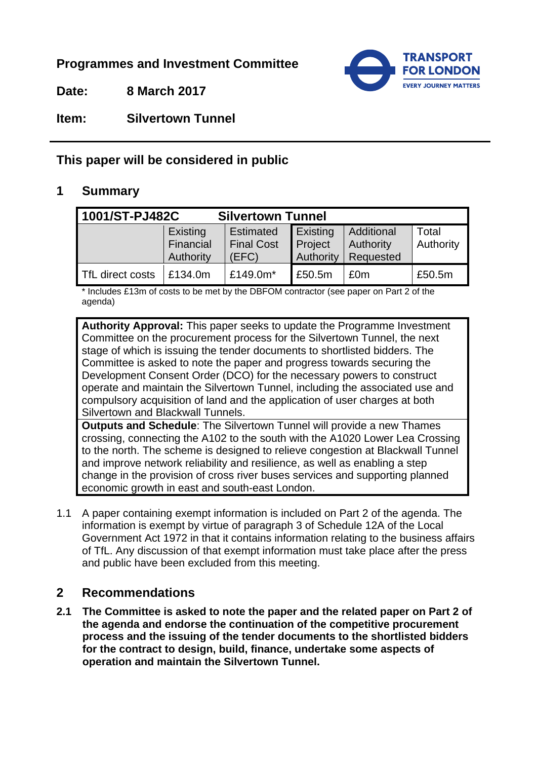**Programmes and Investment Committee**

**Date: 8 March 2017**



**Item: Silvertown Tunnel** 

# **This paper will be considered in public**

#### **1 Summary**

| 1001/ST-PJ482C   |                                    | <b>Silvertown Tunnel</b>                       |                                                           |                                      |                    |
|------------------|------------------------------------|------------------------------------------------|-----------------------------------------------------------|--------------------------------------|--------------------|
|                  | Existing<br>Financial<br>Authority | <b>Estimated</b><br><b>Final Cost</b><br>(EFC) | $\mathsf{Existing}$<br><b>Project</b><br><b>Authority</b> | Additional<br>Authority<br>Requested | Total<br>Authority |
| TfL direct costs | £134.0m                            | £149.0m*                                       | £50.5m                                                    | £0m                                  | £50.5m             |

\* Includes £13m of costs to be met by the DBFOM contractor (see paper on Part 2 of the agenda)

**Authority Approval:** This paper seeks to update the Programme Investment Committee on the procurement process for the Silvertown Tunnel, the next stage of which is issuing the tender documents to shortlisted bidders. The Committee is asked to note the paper and progress towards securing the Development Consent Order (DCO) for the necessary powers to construct operate and maintain the Silvertown Tunnel, including the associated use and compulsory acquisition of land and the application of user charges at both Silvertown and Blackwall Tunnels.

**Outputs and Schedule**: The Silvertown Tunnel will provide a new Thames crossing, connecting the A102 to the south with the A1020 Lower Lea Crossing to the north. The scheme is designed to relieve congestion at Blackwall Tunnel and improve network reliability and resilience, as well as enabling a step change in the provision of cross river buses services and supporting planned economic growth in east and south-east London.

1.1 A paper containing exempt information is included on Part 2 of the agenda. The information is exempt by virtue of paragraph 3 of Schedule 12A of the Local Government Act 1972 in that it contains information relating to the business affairs of TfL. Any discussion of that exempt information must take place after the press and public have been excluded from this meeting.

## **2 Recommendations**

**2.1 The Committee is asked to note the paper and the related paper on Part 2 of the agenda and endorse the continuation of the competitive procurement process and the issuing of the tender documents to the shortlisted bidders for the contract to design, build, finance, undertake some aspects of operation and maintain the Silvertown Tunnel.**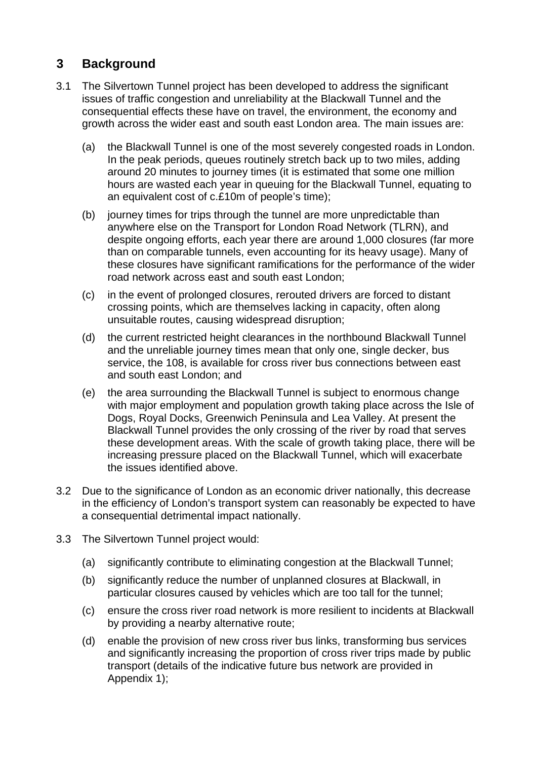### **3 Background**

- 3.1 The Silvertown Tunnel project has been developed to address the significant issues of traffic congestion and unreliability at the Blackwall Tunnel and the consequential effects these have on travel, the environment, the economy and growth across the wider east and south east London area. The main issues are:
	- (a) the Blackwall Tunnel is one of the most severely congested roads in London. In the peak periods, queues routinely stretch back up to two miles, adding around 20 minutes to journey times (it is estimated that some one million hours are wasted each year in queuing for the Blackwall Tunnel, equating to an equivalent cost of c.£10m of people's time);
	- (b) journey times for trips through the tunnel are more unpredictable than anywhere else on the Transport for London Road Network (TLRN), and despite ongoing efforts, each year there are around 1,000 closures (far more than on comparable tunnels, even accounting for its heavy usage). Many of these closures have significant ramifications for the performance of the wider road network across east and south east London;
	- (c) in the event of prolonged closures, rerouted drivers are forced to distant crossing points, which are themselves lacking in capacity, often along unsuitable routes, causing widespread disruption;
	- (d) the current restricted height clearances in the northbound Blackwall Tunnel and the unreliable journey times mean that only one, single decker, bus service, the 108, is available for cross river bus connections between east and south east London; and
	- (e) the area surrounding the Blackwall Tunnel is subject to enormous change with major employment and population growth taking place across the Isle of Dogs, Royal Docks, Greenwich Peninsula and Lea Valley. At present the Blackwall Tunnel provides the only crossing of the river by road that serves these development areas. With the scale of growth taking place, there will be increasing pressure placed on the Blackwall Tunnel, which will exacerbate the issues identified above.
- 3.2 Due to the significance of London as an economic driver nationally, this decrease in the efficiency of London's transport system can reasonably be expected to have a consequential detrimental impact nationally.
- 3.3 The Silvertown Tunnel project would:
	- (a) significantly contribute to eliminating congestion at the Blackwall Tunnel;
	- (b) significantly reduce the number of unplanned closures at Blackwall, in particular closures caused by vehicles which are too tall for the tunnel;
	- (c) ensure the cross river road network is more resilient to incidents at Blackwall by providing a nearby alternative route;
	- (d) enable the provision of new cross river bus links, transforming bus services and significantly increasing the proportion of cross river trips made by public transport (details of the indicative future bus network are provided in Appendix 1);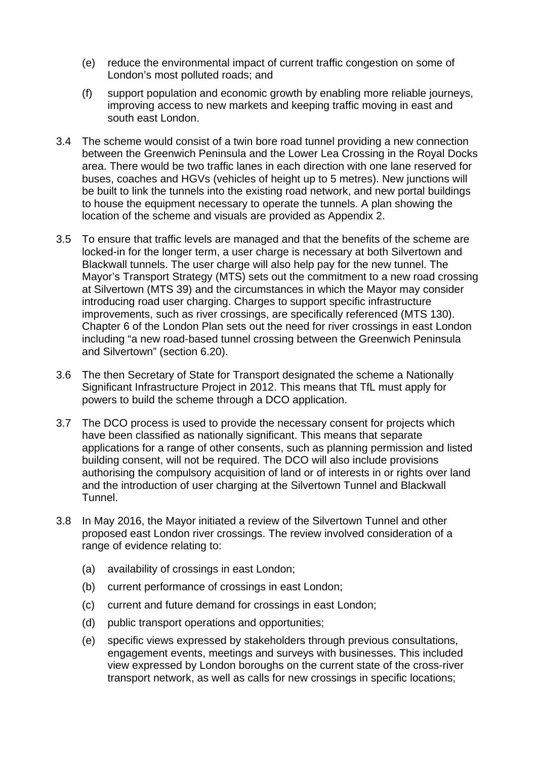- (e) reduce the environmental impact of current traffic congestion on some of London's most polluted roads; and
- (f) support population and economic growth by enabling more reliable journeys, improving access to new markets and keeping traffic moving in east and south east London.
- 3.4 The scheme would consist of a twin bore road tunnel providing a new connection between the Greenwich Peninsula and the Lower Lea Crossing in the Royal Docks area. There would be two traffic lanes in each direction with one lane reserved for buses, coaches and HGVs (vehicles of height up to 5 metres). New junctions will be built to link the tunnels into the existing road network, and new portal buildings to house the equipment necessary to operate the tunnels. A plan showing the location of the scheme and visuals are provided as Appendix 2.
- 3.5 To ensure that traffic levels are managed and that the benefits of the scheme are locked-in for the longer term, a user charge is necessary at both Silvertown and Blackwall tunnels. The user charge will also help pay for the new tunnel. The Mayor's Transport Strategy (MTS) sets out the commitment to a new road crossing at Silvertown (MTS 39) and the circumstances in which the Mayor may consider introducing road user charging. Charges to support specific infrastructure improvements, such as river crossings, are specifically referenced (MTS 130). Chapter 6 of the London Plan sets out the need for river crossings in east London including "a new road-based tunnel crossing between the Greenwich Peninsula and Silvertown" (section 6.20).
- 3.6 The then Secretary of State for Transport designated the scheme a Nationally Significant Infrastructure Project in 2012. This means that TfL must apply for powers to build the scheme through a DCO application.
- 3.7 The DCO process is used to provide the necessary consent for projects which have been classified as nationally significant. This means that separate applications for a range of other consents, such as planning permission and listed building consent, will not be required. The DCO will also include provisions authorising the compulsory acquisition of land or of interests in or rights over land and the introduction of user charging at the Silvertown Tunnel and Blackwall Tunnel.
- 3.8 In May 2016, the Mayor initiated a review of the Silvertown Tunnel and other proposed east London river crossings. The review involved consideration of a range of evidence relating to:
	- (a) availability of crossings in east London;
	- (b) current performance of crossings in east London;
	- (c) current and future demand for crossings in east London;
	- (d) public transport operations and opportunities;
	- (e) specific views expressed by stakeholders through previous consultations, engagement events, meetings and surveys with businesses. This included view expressed by London boroughs on the current state of the cross-river transport network, as well as calls for new crossings in specific locations;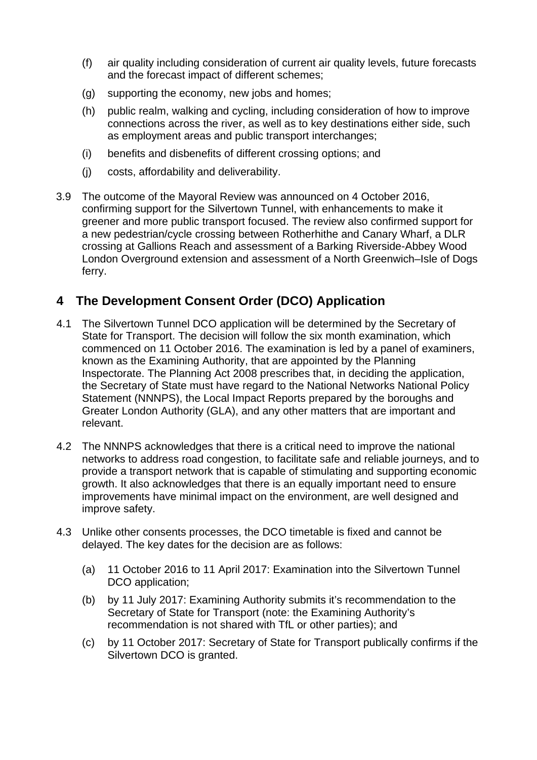- (f) air quality including consideration of current air quality levels, future forecasts and the forecast impact of different schemes;
- (g) supporting the economy, new jobs and homes;
- (h) public realm, walking and cycling, including consideration of how to improve connections across the river, as well as to key destinations either side, such as employment areas and public transport interchanges;
- (i) benefits and disbenefits of different crossing options; and
- (j) costs, affordability and deliverability.
- 3.9 The outcome of the Mayoral Review was announced on 4 October 2016, confirming support for the Silvertown Tunnel, with enhancements to make it greener and more public transport focused. The review also confirmed support for a new pedestrian/cycle crossing between Rotherhithe and Canary Wharf, a DLR crossing at Gallions Reach and assessment of a Barking Riverside-Abbey Wood London Overground extension and assessment of a North Greenwich–Isle of Dogs ferry.

#### **4 The Development Consent Order (DCO) Application**

- 4.1 The Silvertown Tunnel DCO application will be determined by the Secretary of State for Transport. The decision will follow the six month examination, which commenced on 11 October 2016. The examination is led by a panel of examiners, known as the Examining Authority, that are appointed by the Planning Inspectorate. The Planning Act 2008 prescribes that, in deciding the application, the Secretary of State must have regard to the National Networks National Policy Statement (NNNPS), the Local Impact Reports prepared by the boroughs and Greater London Authority (GLA), and any other matters that are important and relevant.
- 4.2 The NNNPS acknowledges that there is a critical need to improve the national networks to address road congestion, to facilitate safe and reliable journeys, and to provide a transport network that is capable of stimulating and supporting economic growth. It also acknowledges that there is an equally important need to ensure improvements have minimal impact on the environment, are well designed and improve safety.
- 4.3 Unlike other consents processes, the DCO timetable is fixed and cannot be delayed. The key dates for the decision are as follows:
	- (a) 11 October 2016 to 11 April 2017: Examination into the Silvertown Tunnel DCO application;
	- (b) by 11 July 2017: Examining Authority submits it's recommendation to the Secretary of State for Transport (note: the Examining Authority's recommendation is not shared with TfL or other parties); and
	- (c) by 11 October 2017: Secretary of State for Transport publically confirms if the Silvertown DCO is granted.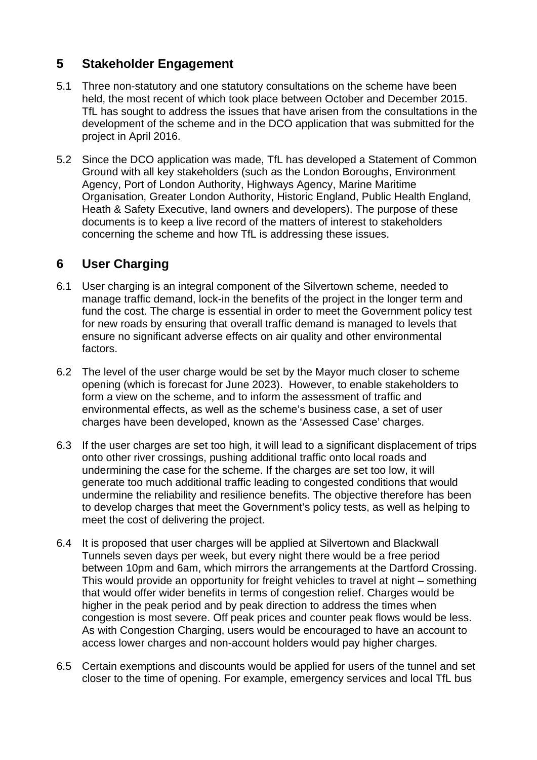### **5 Stakeholder Engagement**

- 5.1 Three non-statutory and one statutory consultations on the scheme have been held, the most recent of which took place between October and December 2015. TfL has sought to address the issues that have arisen from the consultations in the development of the scheme and in the DCO application that was submitted for the project in April 2016.
- 5.2 Since the DCO application was made, TfL has developed a Statement of Common Ground with all key stakeholders (such as the London Boroughs, Environment Agency, Port of London Authority, Highways Agency, Marine Maritime Organisation, Greater London Authority, Historic England, Public Health England, Heath & Safety Executive, land owners and developers). The purpose of these documents is to keep a live record of the matters of interest to stakeholders concerning the scheme and how TfL is addressing these issues.

## **6 User Charging**

- 6.1 User charging is an integral component of the Silvertown scheme, needed to manage traffic demand, lock-in the benefits of the project in the longer term and fund the cost. The charge is essential in order to meet the Government policy test for new roads by ensuring that overall traffic demand is managed to levels that ensure no significant adverse effects on air quality and other environmental factors.
- 6.2 The level of the user charge would be set by the Mayor much closer to scheme opening (which is forecast for June 2023). However, to enable stakeholders to form a view on the scheme, and to inform the assessment of traffic and environmental effects, as well as the scheme's business case, a set of user charges have been developed, known as the 'Assessed Case' charges.
- 6.3 If the user charges are set too high, it will lead to a significant displacement of trips onto other river crossings, pushing additional traffic onto local roads and undermining the case for the scheme. If the charges are set too low, it will generate too much additional traffic leading to congested conditions that would undermine the reliability and resilience benefits. The objective therefore has been to develop charges that meet the Government's policy tests, as well as helping to meet the cost of delivering the project.
- 6.4 It is proposed that user charges will be applied at Silvertown and Blackwall Tunnels seven days per week, but every night there would be a free period between 10pm and 6am, which mirrors the arrangements at the Dartford Crossing. This would provide an opportunity for freight vehicles to travel at night – something that would offer wider benefits in terms of congestion relief. Charges would be higher in the peak period and by peak direction to address the times when congestion is most severe. Off peak prices and counter peak flows would be less. As with Congestion Charging, users would be encouraged to have an account to access lower charges and non-account holders would pay higher charges.
- 6.5 Certain exemptions and discounts would be applied for users of the tunnel and set closer to the time of opening. For example, emergency services and local TfL bus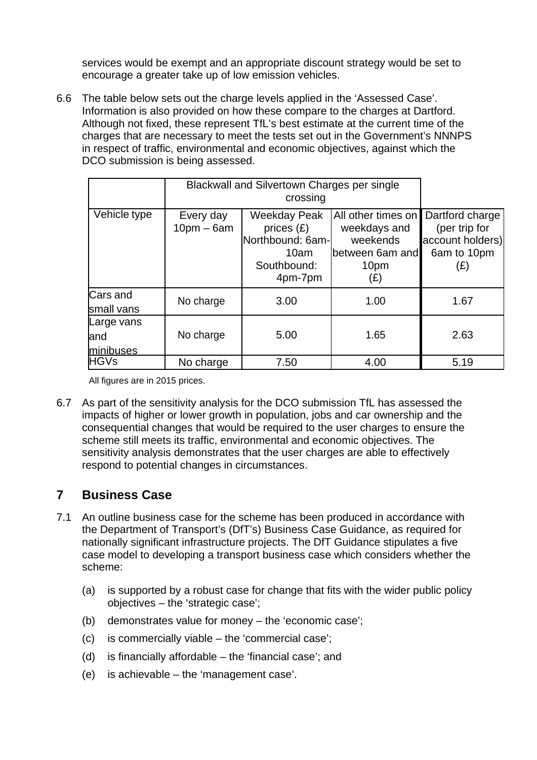services would be exempt and an appropriate discount strategy would be set to encourage a greater take up of low emission vehicles.

6.6 The table below sets out the charge levels applied in the 'Assessed Case'. Information is also provided on how these compare to the charges at Dartford. Although not fixed, these represent TfL's best estimate at the current time of the charges that are necessary to meet the tests set out in the Government's NNNPS in respect of traffic, environmental and economic objectives, against which the DCO submission is being assessed.

|                                 | Blackwall and Silvertown Charges per single<br>crossing |                                                                                           |                                                                                  |                                                                            |
|---------------------------------|---------------------------------------------------------|-------------------------------------------------------------------------------------------|----------------------------------------------------------------------------------|----------------------------------------------------------------------------|
| Vehicle type                    | Every day<br>$10pm - 6am$                               | <b>Weekday Peak</b><br>prices $(E)$<br>Northbound: 6am-<br>10am<br>Southbound:<br>4pm-7pm | All other times on<br>weekdays and<br>weekends<br>between 6am and<br>10pm<br>(£) | Dartford charge<br>(per trip for<br>account holders)<br>6am to 10pm<br>(£) |
| Cars and<br>small vans          | No charge                                               | 3.00                                                                                      | 1.00                                                                             | 1.67                                                                       |
| Large vans<br>land<br>minibuses | No charge                                               | 5.00                                                                                      | 1.65                                                                             | 2.63                                                                       |
| <b>HGVs</b>                     | No charge                                               | 7.50                                                                                      | 4.00                                                                             | 5.19                                                                       |

All figures are in 2015 prices.

6.7 As part of the sensitivity analysis for the DCO submission TfL has assessed the impacts of higher or lower growth in population, jobs and car ownership and the consequential changes that would be required to the user charges to ensure the scheme still meets its traffic, environmental and economic objectives. The sensitivity analysis demonstrates that the user charges are able to effectively respond to potential changes in circumstances.

#### **7 Business Case**

- 7.1 An outline business case for the scheme has been produced in accordance with the Department of Transport's (DfT's) Business Case Guidance, as required for nationally significant infrastructure projects. The DfT Guidance stipulates a five case model to developing a transport business case which considers whether the scheme:
	- (a) is supported by a robust case for change that fits with the wider public policy objectives – the 'strategic case';
	- (b) demonstrates value for money the 'economic case';
	- (c) is commercially viable the 'commercial case';
	- (d) is financially affordable the 'financial case'; and
	- (e) is achievable the 'management case'.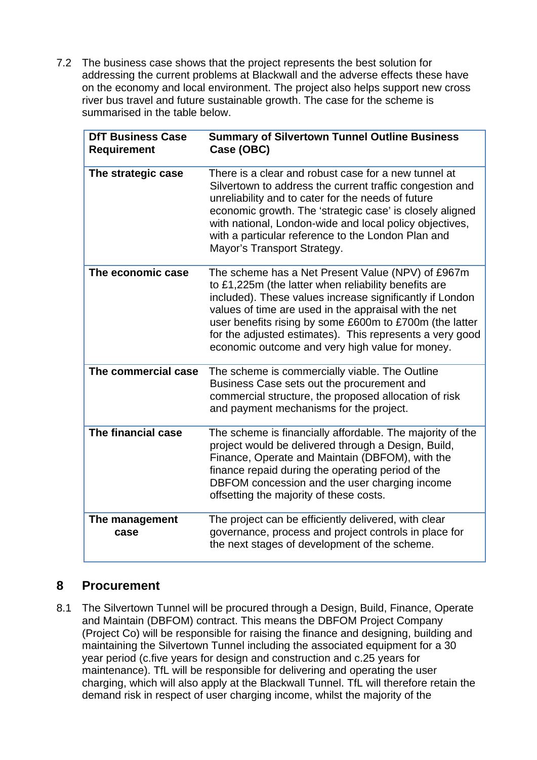7.2 The business case shows that the project represents the best solution for addressing the current problems at Blackwall and the adverse effects these have on the economy and local environment. The project also helps support new cross river bus travel and future sustainable growth. The case for the scheme is summarised in the table below.

| <b>DfT Business Case</b><br><b>Requirement</b> | <b>Summary of Silvertown Tunnel Outline Business</b><br>Case (OBC)                                                                                                                                                                                                                                                                                                                                       |
|------------------------------------------------|----------------------------------------------------------------------------------------------------------------------------------------------------------------------------------------------------------------------------------------------------------------------------------------------------------------------------------------------------------------------------------------------------------|
| The strategic case                             | There is a clear and robust case for a new tunnel at<br>Silvertown to address the current traffic congestion and<br>unreliability and to cater for the needs of future<br>economic growth. The 'strategic case' is closely aligned<br>with national, London-wide and local policy objectives,<br>with a particular reference to the London Plan and<br>Mayor's Transport Strategy.                       |
| The economic case                              | The scheme has a Net Present Value (NPV) of £967m<br>to £1,225m (the latter when reliability benefits are<br>included). These values increase significantly if London<br>values of time are used in the appraisal with the net<br>user benefits rising by some £600m to £700m (the latter<br>for the adjusted estimates). This represents a very good<br>economic outcome and very high value for money. |
| The commercial case                            | The scheme is commercially viable. The Outline<br>Business Case sets out the procurement and<br>commercial structure, the proposed allocation of risk<br>and payment mechanisms for the project.                                                                                                                                                                                                         |
| The financial case                             | The scheme is financially affordable. The majority of the<br>project would be delivered through a Design, Build,<br>Finance, Operate and Maintain (DBFOM), with the<br>finance repaid during the operating period of the<br>DBFOM concession and the user charging income<br>offsetting the majority of these costs.                                                                                     |
| The management<br>case                         | The project can be efficiently delivered, with clear<br>governance, process and project controls in place for<br>the next stages of development of the scheme.                                                                                                                                                                                                                                           |

#### **8 Procurement**

8.1 The Silvertown Tunnel will be procured through a Design, Build, Finance, Operate and Maintain (DBFOM) contract. This means the DBFOM Project Company (Project Co) will be responsible for raising the finance and designing, building and maintaining the Silvertown Tunnel including the associated equipment for a 30 year period (c.five years for design and construction and c.25 years for maintenance). TfL will be responsible for delivering and operating the user charging, which will also apply at the Blackwall Tunnel. TfL will therefore retain the demand risk in respect of user charging income, whilst the majority of the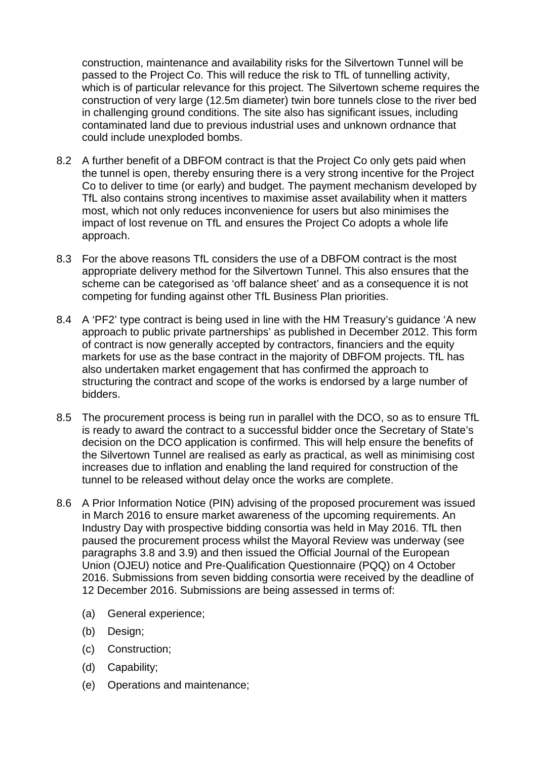construction, maintenance and availability risks for the Silvertown Tunnel will be passed to the Project Co. This will reduce the risk to TfL of tunnelling activity, which is of particular relevance for this project. The Silvertown scheme requires the construction of very large (12.5m diameter) twin bore tunnels close to the river bed in challenging ground conditions. The site also has significant issues, including contaminated land due to previous industrial uses and unknown ordnance that could include unexploded bombs.

- 8.2 A further benefit of a DBFOM contract is that the Project Co only gets paid when the tunnel is open, thereby ensuring there is a very strong incentive for the Project Co to deliver to time (or early) and budget. The payment mechanism developed by TfL also contains strong incentives to maximise asset availability when it matters most, which not only reduces inconvenience for users but also minimises the impact of lost revenue on TfL and ensures the Project Co adopts a whole life approach.
- 8.3 For the above reasons TfL considers the use of a DBFOM contract is the most appropriate delivery method for the Silvertown Tunnel. This also ensures that the scheme can be categorised as 'off balance sheet' and as a consequence it is not competing for funding against other TfL Business Plan priorities.
- 8.4 A 'PF2' type contract is being used in line with the HM Treasury's guidance 'A new approach to public private partnerships' as published in December 2012. This form of contract is now generally accepted by contractors, financiers and the equity markets for use as the base contract in the majority of DBFOM projects. TfL has also undertaken market engagement that has confirmed the approach to structuring the contract and scope of the works is endorsed by a large number of bidders.
- 8.5 The procurement process is being run in parallel with the DCO, so as to ensure TfL is ready to award the contract to a successful bidder once the Secretary of State's decision on the DCO application is confirmed. This will help ensure the benefits of the Silvertown Tunnel are realised as early as practical, as well as minimising cost increases due to inflation and enabling the land required for construction of the tunnel to be released without delay once the works are complete.
- 8.6 A Prior Information Notice (PIN) advising of the proposed procurement was issued in March 2016 to ensure market awareness of the upcoming requirements. An Industry Day with prospective bidding consortia was held in May 2016. TfL then paused the procurement process whilst the Mayoral Review was underway (see paragraphs 3.8 and 3.9) and then issued the Official Journal of the European Union (OJEU) notice and Pre-Qualification Questionnaire (PQQ) on 4 October 2016. Submissions from seven bidding consortia were received by the deadline of 12 December 2016. Submissions are being assessed in terms of:
	- (a) General experience;
	- (b) Design;
	- (c) Construction;
	- (d) Capability;
	- (e) Operations and maintenance;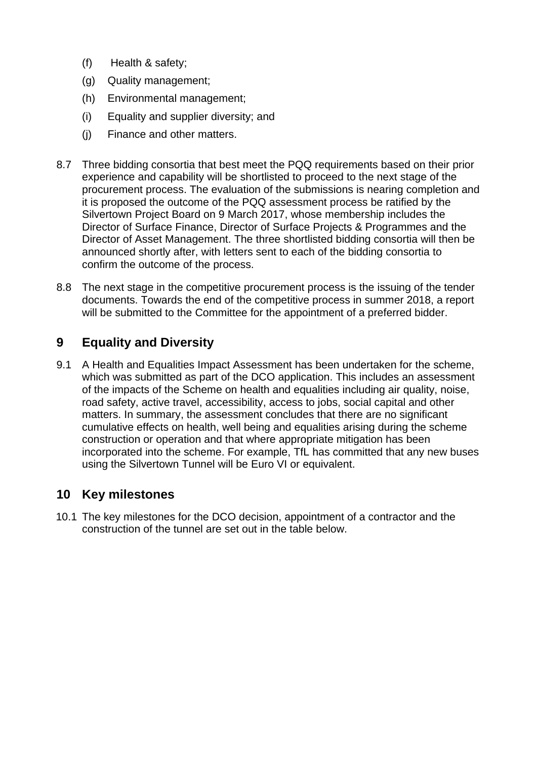- (f) Health & safety;
- (g) Quality management;
- (h) Environmental management;
- (i) Equality and supplier diversity; and
- (j) Finance and other matters.
- 8.7 Three bidding consortia that best meet the PQQ requirements based on their prior experience and capability will be shortlisted to proceed to the next stage of the procurement process. The evaluation of the submissions is nearing completion and it is proposed the outcome of the PQQ assessment process be ratified by the Silvertown Project Board on 9 March 2017, whose membership includes the Director of Surface Finance, Director of Surface Projects & Programmes and the Director of Asset Management. The three shortlisted bidding consortia will then be announced shortly after, with letters sent to each of the bidding consortia to confirm the outcome of the process.
- 8.8 The next stage in the competitive procurement process is the issuing of the tender documents. Towards the end of the competitive process in summer 2018, a report will be submitted to the Committee for the appointment of a preferred bidder.

### **9 Equality and Diversity**

9.1 A Health and Equalities Impact Assessment has been undertaken for the scheme, which was submitted as part of the DCO application. This includes an assessment of the impacts of the Scheme on health and equalities including air quality, noise, road safety, active travel, accessibility, access to jobs, social capital and other matters. In summary, the assessment concludes that there are no significant cumulative effects on health, well being and equalities arising during the scheme construction or operation and that where appropriate mitigation has been incorporated into the scheme. For example, TfL has committed that any new buses using the Silvertown Tunnel will be Euro VI or equivalent.

## **10 Key milestones**

10.1 The key milestones for the DCO decision, appointment of a contractor and the construction of the tunnel are set out in the table below.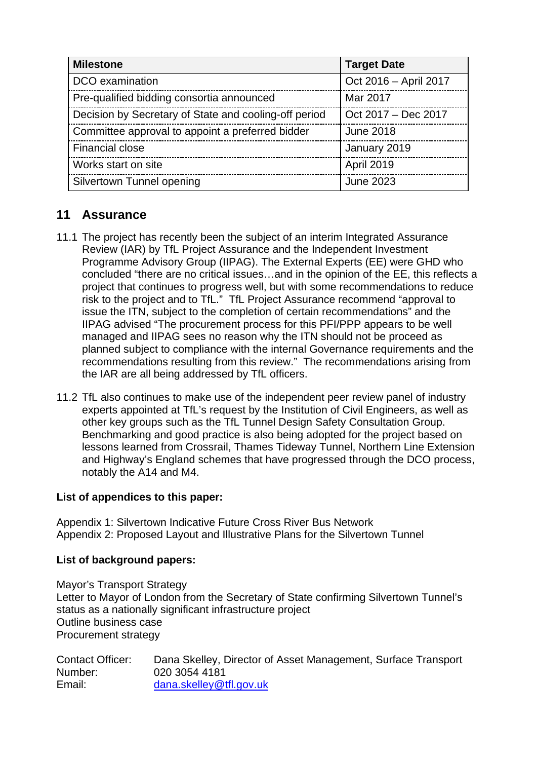| <b>Milestone</b>                                      | <b>Target Date</b>    |
|-------------------------------------------------------|-----------------------|
| DCO examination                                       | Oct 2016 - April 2017 |
| Pre-qualified bidding consortia announced             | Mar 2017              |
| Decision by Secretary of State and cooling-off period | Oct 2017 - Dec 2017   |
| Committee approval to appoint a preferred bidder      | <b>June 2018</b>      |
| <b>Financial close</b>                                | January 2019          |
| Works start on site                                   | April 2019            |
| Silvertown Tunnel opening                             | <b>June 2023</b>      |

### **11 Assurance**

- 11.1 The project has recently been the subject of an interim Integrated Assurance Review (IAR) by TfL Project Assurance and the Independent Investment Programme Advisory Group (IIPAG). The External Experts (EE) were GHD who concluded "there are no critical issues…and in the opinion of the EE, this reflects a project that continues to progress well, but with some recommendations to reduce risk to the project and to TfL." TfL Project Assurance recommend "approval to issue the ITN, subject to the completion of certain recommendations" and the IIPAG advised "The procurement process for this PFI/PPP appears to be well managed and IIPAG sees no reason why the ITN should not be proceed as planned subject to compliance with the internal Governance requirements and the recommendations resulting from this review." The recommendations arising from the IAR are all being addressed by TfL officers.
- 11.2 TfL also continues to make use of the independent peer review panel of industry experts appointed at TfL's request by the Institution of Civil Engineers, as well as other key groups such as the TfL Tunnel Design Safety Consultation Group. Benchmarking and good practice is also being adopted for the project based on lessons learned from Crossrail, Thames Tideway Tunnel, Northern Line Extension and Highway's England schemes that have progressed through the DCO process, notably the A14 and M4.

#### **List of appendices to this paper:**

Appendix 1: Silvertown Indicative Future Cross River Bus Network Appendix 2: Proposed Layout and Illustrative Plans for the Silvertown Tunnel

#### **List of background papers:**

Mayor's Transport Strategy Letter to Mayor of London from the Secretary of State confirming Silvertown Tunnel's status as a nationally significant infrastructure project Outline business case Procurement strategy

| <b>Contact Officer:</b> | Dana Skelley, Director of Asset Management, Surface Transport |
|-------------------------|---------------------------------------------------------------|
| Number:                 | 020 3054 4181                                                 |
| Email:                  | dana.skelley@tfl.gov.uk                                       |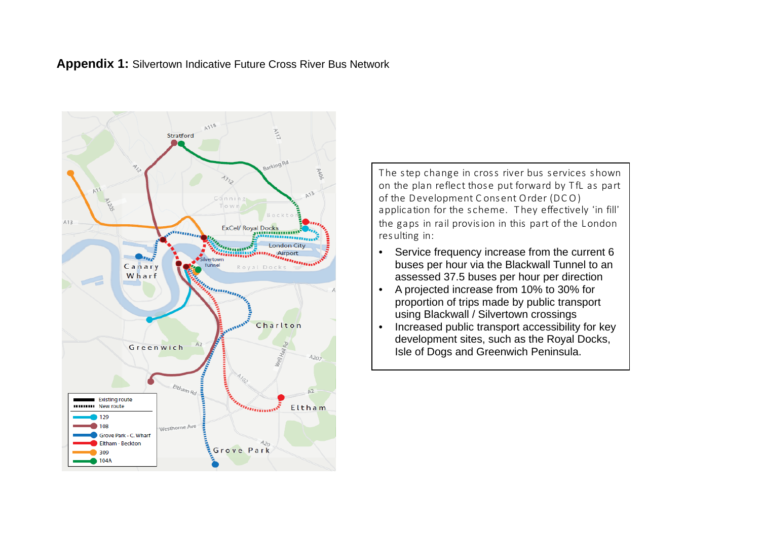



The step change in cross river bus services shown on the plan reflect those put forward by TfL as part of the Development Consent Order (DCO) application for the scheme. They effectively 'in fill' the gaps in rail provision in this part of the London res ulting in:

- Service frequency increase from the current 6 buses per hour via the Blackwall Tunnel to an assessed 37.5 buses per hour per direction
- A projected increase from 10% to 30% for proportion of trips made by public transport using Blackwall / Silvertown crossings
- Increased public transport accessibility for key development sites, such as the Royal Docks, Isle of Dogs and Greenwich Peninsula.